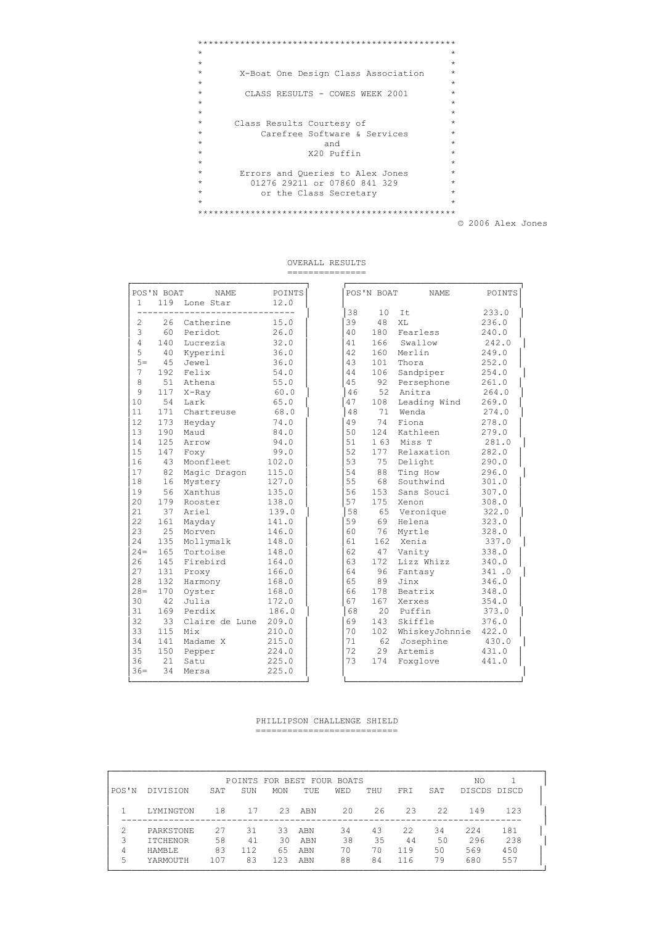```
\star\pmX-Boat One Design Class Association
\starCLASS RESULTS - COWES WEEK 2001
\star\star\star\starClass Results Courtesy of
\starCarefree Software & Services
                                              \rightarrow\starand<br>X20 Puffin
                                              \rightarrow_{\star}\starErrors and Queries to Alex Jones<br>01276 29211 or 07860 841 329
\star\star\staror the Class Secretary
\star
```
© 2006 Alex Jones

#### OVERALL RESULTS ===============

| 233.0<br>38<br>10<br>It<br>39<br>2<br>26<br>Catherine<br>15.0<br>48<br>XT.<br>236.0<br>3<br>60<br>180<br>Peridot<br>26.0<br>40<br>Fearless<br>240.0<br>$\overline{4}$<br>140<br>Lucrezia<br>166<br>242.0<br>32.0<br>41<br>Swallow<br>5<br>42<br>160<br>Merlin<br>249.0<br>40<br>Kyperini<br>36.0<br>$5=$<br>252.0<br>45<br>Jewel<br>36.0<br>43<br>101<br>Thora<br>7<br>192<br>106<br>Felix<br>54.0<br>44<br>Sandpiper<br>254.0<br>8<br>51<br>4.5<br>92<br>Athena<br>55.0<br>Persephone<br>261.0<br>$\mathcal{Q}$<br>117<br>60.0<br>46<br>52<br>Anitra<br>264.0<br>$X$ -Ray<br>54<br>10<br>Lark<br>65.0<br>47<br>108<br>Leading Wind<br>269.0<br>11<br>171<br>Wenda<br>Chartreuse<br>68.0<br>48<br>71<br>274.0<br>12<br>74<br>173<br>Fiona<br>74.0<br>49<br>278.0<br>Heyday<br>13<br>190<br>124<br>84.0<br>50<br>Kathleen<br>279.0<br>Maud<br>125<br>51<br>14<br>94.0<br>163<br>Miss T<br>281.0<br>Arrow<br>15<br>99.0<br>52<br>177<br>147<br>Relaxation<br>282.0<br>Foxy<br>16<br>53<br>43<br>Moonfleet<br>102.0<br>75<br>Delight<br>290.0<br>17<br>82<br>54<br>88<br>Magic Dragon<br>115.0<br>Ting How<br>296.0<br>55<br>18<br>16<br>127.0<br>68<br>Southwind<br>Mystery<br>301.0<br>19<br>56<br>Xanthus<br>56<br>153<br>135.0<br>307.0<br>Sans Souci<br>57<br>20<br>175<br>179<br>138.0<br>Rooster<br>Xenon<br>308.0<br>21<br>37<br>Ariel<br>58<br>65<br>322.0<br>139.0<br>Veronique<br>22<br>161<br>141.0<br>59<br>69<br>Helena<br>323.0<br>Mayday<br>23<br>25<br>Morven<br>146.0<br>60<br>76<br>328.0<br>Myrtle<br>2.4<br>135<br>Xenia<br>61<br>162<br>337.0<br>Mollymalk<br>148.0<br>$2.4 =$<br>165<br>Tortoise<br>62<br>338.0<br>148.0<br>47<br>Vanity<br>172<br>Lizz Whizz<br>2.6<br>145<br>Firebird<br>63<br>164.0<br>340.0<br>27<br>96<br>131<br>64<br>Proxy<br>166.0<br>Fantasy<br>341.0<br>28<br>89<br>132<br>Harmony<br>65<br>Jinx<br>346.0<br>168.0<br>$28 =$<br>170<br>66<br>178<br>Oyster<br>168.0<br>Beatrix<br>348.0<br>67<br>167<br>30<br>42<br>Julia<br>172.0<br>354.0<br>Xerxes<br>169<br>31<br>Perdix<br>186.0<br>68<br>20<br>Puffin<br>373.0<br>32<br>33<br>Claire de Lune<br>209.0<br>69<br>143<br>Skiffle<br>376.0<br>33<br>115<br>70<br>Mix<br>210.0<br>102<br>WhiskeyJohnnie<br>422.0<br>34<br>71<br>141<br>Madame X<br>215.0<br>62<br>Josephine<br>430.0<br>72<br>35<br>150<br>29<br>Artemis<br>431.0<br>224.0 | $\mathbf{1}$ | POS'N BOAT | <b>NAME</b><br>119 Lone Star | POINTS<br>12.0 |  | POS'N BOAT | NAME | POINTS |
|-------------------------------------------------------------------------------------------------------------------------------------------------------------------------------------------------------------------------------------------------------------------------------------------------------------------------------------------------------------------------------------------------------------------------------------------------------------------------------------------------------------------------------------------------------------------------------------------------------------------------------------------------------------------------------------------------------------------------------------------------------------------------------------------------------------------------------------------------------------------------------------------------------------------------------------------------------------------------------------------------------------------------------------------------------------------------------------------------------------------------------------------------------------------------------------------------------------------------------------------------------------------------------------------------------------------------------------------------------------------------------------------------------------------------------------------------------------------------------------------------------------------------------------------------------------------------------------------------------------------------------------------------------------------------------------------------------------------------------------------------------------------------------------------------------------------------------------------------------------------------------------------------------------------------------------------------------------------------------------------------------------------------------------------------------------------------------------------------------------------------------------------------------------------------------------------------------------------------------------------------------------------------------------------------------------------------------------------|--------------|------------|------------------------------|----------------|--|------------|------|--------|
|                                                                                                                                                                                                                                                                                                                                                                                                                                                                                                                                                                                                                                                                                                                                                                                                                                                                                                                                                                                                                                                                                                                                                                                                                                                                                                                                                                                                                                                                                                                                                                                                                                                                                                                                                                                                                                                                                                                                                                                                                                                                                                                                                                                                                                                                                                                                           |              |            |                              |                |  |            |      |        |
|                                                                                                                                                                                                                                                                                                                                                                                                                                                                                                                                                                                                                                                                                                                                                                                                                                                                                                                                                                                                                                                                                                                                                                                                                                                                                                                                                                                                                                                                                                                                                                                                                                                                                                                                                                                                                                                                                                                                                                                                                                                                                                                                                                                                                                                                                                                                           |              |            |                              |                |  |            |      |        |
|                                                                                                                                                                                                                                                                                                                                                                                                                                                                                                                                                                                                                                                                                                                                                                                                                                                                                                                                                                                                                                                                                                                                                                                                                                                                                                                                                                                                                                                                                                                                                                                                                                                                                                                                                                                                                                                                                                                                                                                                                                                                                                                                                                                                                                                                                                                                           |              |            |                              |                |  |            |      |        |
|                                                                                                                                                                                                                                                                                                                                                                                                                                                                                                                                                                                                                                                                                                                                                                                                                                                                                                                                                                                                                                                                                                                                                                                                                                                                                                                                                                                                                                                                                                                                                                                                                                                                                                                                                                                                                                                                                                                                                                                                                                                                                                                                                                                                                                                                                                                                           |              |            |                              |                |  |            |      |        |
|                                                                                                                                                                                                                                                                                                                                                                                                                                                                                                                                                                                                                                                                                                                                                                                                                                                                                                                                                                                                                                                                                                                                                                                                                                                                                                                                                                                                                                                                                                                                                                                                                                                                                                                                                                                                                                                                                                                                                                                                                                                                                                                                                                                                                                                                                                                                           |              |            |                              |                |  |            |      |        |
|                                                                                                                                                                                                                                                                                                                                                                                                                                                                                                                                                                                                                                                                                                                                                                                                                                                                                                                                                                                                                                                                                                                                                                                                                                                                                                                                                                                                                                                                                                                                                                                                                                                                                                                                                                                                                                                                                                                                                                                                                                                                                                                                                                                                                                                                                                                                           |              |            |                              |                |  |            |      |        |
|                                                                                                                                                                                                                                                                                                                                                                                                                                                                                                                                                                                                                                                                                                                                                                                                                                                                                                                                                                                                                                                                                                                                                                                                                                                                                                                                                                                                                                                                                                                                                                                                                                                                                                                                                                                                                                                                                                                                                                                                                                                                                                                                                                                                                                                                                                                                           |              |            |                              |                |  |            |      |        |
|                                                                                                                                                                                                                                                                                                                                                                                                                                                                                                                                                                                                                                                                                                                                                                                                                                                                                                                                                                                                                                                                                                                                                                                                                                                                                                                                                                                                                                                                                                                                                                                                                                                                                                                                                                                                                                                                                                                                                                                                                                                                                                                                                                                                                                                                                                                                           |              |            |                              |                |  |            |      |        |
|                                                                                                                                                                                                                                                                                                                                                                                                                                                                                                                                                                                                                                                                                                                                                                                                                                                                                                                                                                                                                                                                                                                                                                                                                                                                                                                                                                                                                                                                                                                                                                                                                                                                                                                                                                                                                                                                                                                                                                                                                                                                                                                                                                                                                                                                                                                                           |              |            |                              |                |  |            |      |        |
|                                                                                                                                                                                                                                                                                                                                                                                                                                                                                                                                                                                                                                                                                                                                                                                                                                                                                                                                                                                                                                                                                                                                                                                                                                                                                                                                                                                                                                                                                                                                                                                                                                                                                                                                                                                                                                                                                                                                                                                                                                                                                                                                                                                                                                                                                                                                           |              |            |                              |                |  |            |      |        |
|                                                                                                                                                                                                                                                                                                                                                                                                                                                                                                                                                                                                                                                                                                                                                                                                                                                                                                                                                                                                                                                                                                                                                                                                                                                                                                                                                                                                                                                                                                                                                                                                                                                                                                                                                                                                                                                                                                                                                                                                                                                                                                                                                                                                                                                                                                                                           |              |            |                              |                |  |            |      |        |
|                                                                                                                                                                                                                                                                                                                                                                                                                                                                                                                                                                                                                                                                                                                                                                                                                                                                                                                                                                                                                                                                                                                                                                                                                                                                                                                                                                                                                                                                                                                                                                                                                                                                                                                                                                                                                                                                                                                                                                                                                                                                                                                                                                                                                                                                                                                                           |              |            |                              |                |  |            |      |        |
|                                                                                                                                                                                                                                                                                                                                                                                                                                                                                                                                                                                                                                                                                                                                                                                                                                                                                                                                                                                                                                                                                                                                                                                                                                                                                                                                                                                                                                                                                                                                                                                                                                                                                                                                                                                                                                                                                                                                                                                                                                                                                                                                                                                                                                                                                                                                           |              |            |                              |                |  |            |      |        |
|                                                                                                                                                                                                                                                                                                                                                                                                                                                                                                                                                                                                                                                                                                                                                                                                                                                                                                                                                                                                                                                                                                                                                                                                                                                                                                                                                                                                                                                                                                                                                                                                                                                                                                                                                                                                                                                                                                                                                                                                                                                                                                                                                                                                                                                                                                                                           |              |            |                              |                |  |            |      |        |
|                                                                                                                                                                                                                                                                                                                                                                                                                                                                                                                                                                                                                                                                                                                                                                                                                                                                                                                                                                                                                                                                                                                                                                                                                                                                                                                                                                                                                                                                                                                                                                                                                                                                                                                                                                                                                                                                                                                                                                                                                                                                                                                                                                                                                                                                                                                                           |              |            |                              |                |  |            |      |        |
|                                                                                                                                                                                                                                                                                                                                                                                                                                                                                                                                                                                                                                                                                                                                                                                                                                                                                                                                                                                                                                                                                                                                                                                                                                                                                                                                                                                                                                                                                                                                                                                                                                                                                                                                                                                                                                                                                                                                                                                                                                                                                                                                                                                                                                                                                                                                           |              |            |                              |                |  |            |      |        |
|                                                                                                                                                                                                                                                                                                                                                                                                                                                                                                                                                                                                                                                                                                                                                                                                                                                                                                                                                                                                                                                                                                                                                                                                                                                                                                                                                                                                                                                                                                                                                                                                                                                                                                                                                                                                                                                                                                                                                                                                                                                                                                                                                                                                                                                                                                                                           |              |            |                              |                |  |            |      |        |
|                                                                                                                                                                                                                                                                                                                                                                                                                                                                                                                                                                                                                                                                                                                                                                                                                                                                                                                                                                                                                                                                                                                                                                                                                                                                                                                                                                                                                                                                                                                                                                                                                                                                                                                                                                                                                                                                                                                                                                                                                                                                                                                                                                                                                                                                                                                                           |              |            |                              |                |  |            |      |        |
|                                                                                                                                                                                                                                                                                                                                                                                                                                                                                                                                                                                                                                                                                                                                                                                                                                                                                                                                                                                                                                                                                                                                                                                                                                                                                                                                                                                                                                                                                                                                                                                                                                                                                                                                                                                                                                                                                                                                                                                                                                                                                                                                                                                                                                                                                                                                           |              |            |                              |                |  |            |      |        |
|                                                                                                                                                                                                                                                                                                                                                                                                                                                                                                                                                                                                                                                                                                                                                                                                                                                                                                                                                                                                                                                                                                                                                                                                                                                                                                                                                                                                                                                                                                                                                                                                                                                                                                                                                                                                                                                                                                                                                                                                                                                                                                                                                                                                                                                                                                                                           |              |            |                              |                |  |            |      |        |
|                                                                                                                                                                                                                                                                                                                                                                                                                                                                                                                                                                                                                                                                                                                                                                                                                                                                                                                                                                                                                                                                                                                                                                                                                                                                                                                                                                                                                                                                                                                                                                                                                                                                                                                                                                                                                                                                                                                                                                                                                                                                                                                                                                                                                                                                                                                                           |              |            |                              |                |  |            |      |        |
|                                                                                                                                                                                                                                                                                                                                                                                                                                                                                                                                                                                                                                                                                                                                                                                                                                                                                                                                                                                                                                                                                                                                                                                                                                                                                                                                                                                                                                                                                                                                                                                                                                                                                                                                                                                                                                                                                                                                                                                                                                                                                                                                                                                                                                                                                                                                           |              |            |                              |                |  |            |      |        |
|                                                                                                                                                                                                                                                                                                                                                                                                                                                                                                                                                                                                                                                                                                                                                                                                                                                                                                                                                                                                                                                                                                                                                                                                                                                                                                                                                                                                                                                                                                                                                                                                                                                                                                                                                                                                                                                                                                                                                                                                                                                                                                                                                                                                                                                                                                                                           |              |            |                              |                |  |            |      |        |
|                                                                                                                                                                                                                                                                                                                                                                                                                                                                                                                                                                                                                                                                                                                                                                                                                                                                                                                                                                                                                                                                                                                                                                                                                                                                                                                                                                                                                                                                                                                                                                                                                                                                                                                                                                                                                                                                                                                                                                                                                                                                                                                                                                                                                                                                                                                                           |              |            |                              |                |  |            |      |        |
|                                                                                                                                                                                                                                                                                                                                                                                                                                                                                                                                                                                                                                                                                                                                                                                                                                                                                                                                                                                                                                                                                                                                                                                                                                                                                                                                                                                                                                                                                                                                                                                                                                                                                                                                                                                                                                                                                                                                                                                                                                                                                                                                                                                                                                                                                                                                           |              |            |                              |                |  |            |      |        |
|                                                                                                                                                                                                                                                                                                                                                                                                                                                                                                                                                                                                                                                                                                                                                                                                                                                                                                                                                                                                                                                                                                                                                                                                                                                                                                                                                                                                                                                                                                                                                                                                                                                                                                                                                                                                                                                                                                                                                                                                                                                                                                                                                                                                                                                                                                                                           |              |            |                              |                |  |            |      |        |
|                                                                                                                                                                                                                                                                                                                                                                                                                                                                                                                                                                                                                                                                                                                                                                                                                                                                                                                                                                                                                                                                                                                                                                                                                                                                                                                                                                                                                                                                                                                                                                                                                                                                                                                                                                                                                                                                                                                                                                                                                                                                                                                                                                                                                                                                                                                                           |              |            |                              |                |  |            |      |        |
|                                                                                                                                                                                                                                                                                                                                                                                                                                                                                                                                                                                                                                                                                                                                                                                                                                                                                                                                                                                                                                                                                                                                                                                                                                                                                                                                                                                                                                                                                                                                                                                                                                                                                                                                                                                                                                                                                                                                                                                                                                                                                                                                                                                                                                                                                                                                           |              |            |                              |                |  |            |      |        |
|                                                                                                                                                                                                                                                                                                                                                                                                                                                                                                                                                                                                                                                                                                                                                                                                                                                                                                                                                                                                                                                                                                                                                                                                                                                                                                                                                                                                                                                                                                                                                                                                                                                                                                                                                                                                                                                                                                                                                                                                                                                                                                                                                                                                                                                                                                                                           |              |            |                              |                |  |            |      |        |
|                                                                                                                                                                                                                                                                                                                                                                                                                                                                                                                                                                                                                                                                                                                                                                                                                                                                                                                                                                                                                                                                                                                                                                                                                                                                                                                                                                                                                                                                                                                                                                                                                                                                                                                                                                                                                                                                                                                                                                                                                                                                                                                                                                                                                                                                                                                                           |              |            |                              |                |  |            |      |        |
|                                                                                                                                                                                                                                                                                                                                                                                                                                                                                                                                                                                                                                                                                                                                                                                                                                                                                                                                                                                                                                                                                                                                                                                                                                                                                                                                                                                                                                                                                                                                                                                                                                                                                                                                                                                                                                                                                                                                                                                                                                                                                                                                                                                                                                                                                                                                           |              |            |                              |                |  |            |      |        |
|                                                                                                                                                                                                                                                                                                                                                                                                                                                                                                                                                                                                                                                                                                                                                                                                                                                                                                                                                                                                                                                                                                                                                                                                                                                                                                                                                                                                                                                                                                                                                                                                                                                                                                                                                                                                                                                                                                                                                                                                                                                                                                                                                                                                                                                                                                                                           |              |            |                              |                |  |            |      |        |
|                                                                                                                                                                                                                                                                                                                                                                                                                                                                                                                                                                                                                                                                                                                                                                                                                                                                                                                                                                                                                                                                                                                                                                                                                                                                                                                                                                                                                                                                                                                                                                                                                                                                                                                                                                                                                                                                                                                                                                                                                                                                                                                                                                                                                                                                                                                                           |              |            |                              |                |  |            |      |        |
|                                                                                                                                                                                                                                                                                                                                                                                                                                                                                                                                                                                                                                                                                                                                                                                                                                                                                                                                                                                                                                                                                                                                                                                                                                                                                                                                                                                                                                                                                                                                                                                                                                                                                                                                                                                                                                                                                                                                                                                                                                                                                                                                                                                                                                                                                                                                           |              |            |                              |                |  |            |      |        |
|                                                                                                                                                                                                                                                                                                                                                                                                                                                                                                                                                                                                                                                                                                                                                                                                                                                                                                                                                                                                                                                                                                                                                                                                                                                                                                                                                                                                                                                                                                                                                                                                                                                                                                                                                                                                                                                                                                                                                                                                                                                                                                                                                                                                                                                                                                                                           |              |            | Pepper                       |                |  |            |      |        |
| 36<br>21<br>73<br>225.0<br>174<br>441.0<br>Satu<br>Foxglove                                                                                                                                                                                                                                                                                                                                                                                                                                                                                                                                                                                                                                                                                                                                                                                                                                                                                                                                                                                                                                                                                                                                                                                                                                                                                                                                                                                                                                                                                                                                                                                                                                                                                                                                                                                                                                                                                                                                                                                                                                                                                                                                                                                                                                                                               |              |            |                              |                |  |            |      |        |
| $36 =$<br>34<br>225.0<br>Mersa                                                                                                                                                                                                                                                                                                                                                                                                                                                                                                                                                                                                                                                                                                                                                                                                                                                                                                                                                                                                                                                                                                                                                                                                                                                                                                                                                                                                                                                                                                                                                                                                                                                                                                                                                                                                                                                                                                                                                                                                                                                                                                                                                                                                                                                                                                            |              |            |                              |                |  |            |      |        |

## PHILLIPSON CHALLENGE SHIELD

|       |                 |     |     |            |     | POINTS FOR BEST FOUR BOATS |     |            |      | NO           |     |
|-------|-----------------|-----|-----|------------|-----|----------------------------|-----|------------|------|--------------|-----|
| POS'N | DIVISION        | SAT | SUN | <b>MON</b> | TUE | WED                        | THU | <b>FRT</b> | SAT  | DISCDS DISCD |     |
|       | LYMINGTON       | 18  | 17  | 23         | ABN | 20                         | 26  | 23         | 22.2 | 149          | 123 |
|       |                 |     |     |            |     |                            |     |            |      |              |     |
|       | PARKSTONE       | 2.7 | 31  | 33         | ABN | 34                         | 43  | 22.2       | 34   | 2.2.4        | 181 |
| 3     | <b>ITCHENOR</b> | 58  | 41  | 30         | ABN | 38                         | 35  | 44         | 50   | 296          | 238 |
| 4     | <b>HAMBLE</b>   | 83  | 112 | 65         | ABN | 70                         | 70  | 119        | 50   | 569          | 450 |
| 5     | YARMOUTH        | 107 | 83  | 123        | ABN | 88                         | 84  | 116        | 79   | 680          | 557 |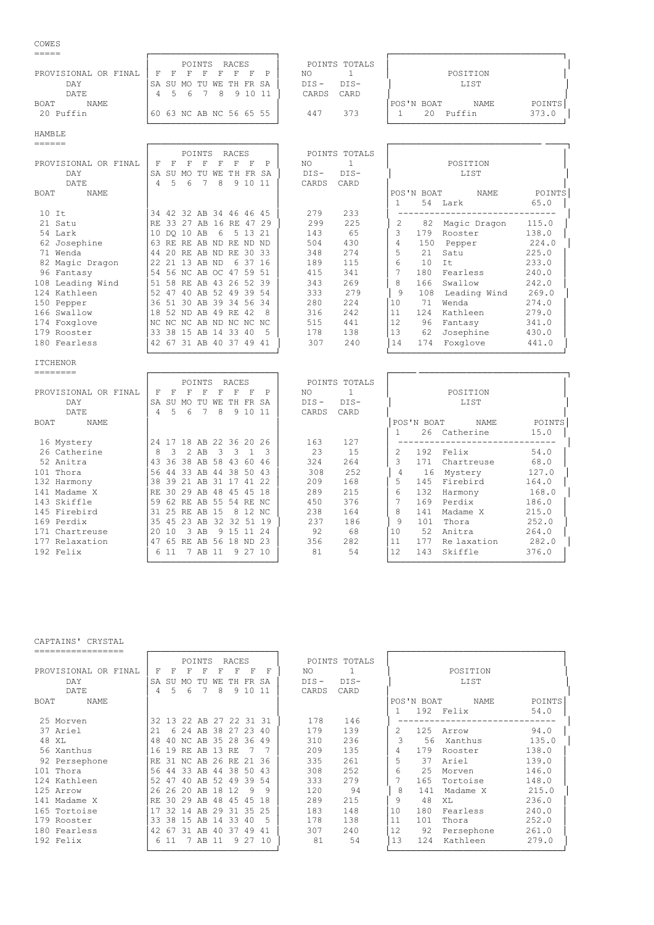## COWES

|                      | RACES<br>POINTS                        | POINTS TOTALS                       |
|----------------------|----------------------------------------|-------------------------------------|
| PROVISIONAL OR FINAL | - F.<br>F.<br>F F<br>- F<br>ਸ<br>- F - | POSITION<br>NO                      |
| DAY                  | SA SU MO TU WE TH FR SA                | $DTS -$<br>LIST<br>DIS-             |
| DATE                 | 7 8 9 10 11<br>5 h                     | CARD<br>CARDS                       |
| NAME.<br><b>BOAT</b> |                                        | POINTS<br>'POS'N BOAT<br>NAME       |
| 20 Puffin            | 60 63 NC AB NC 56 65 55                | Puffin<br>373.0<br>373<br>20<br>447 |
|                      |                                        |                                     |

# HAMBLE

| ====== |                      |    |       |                         |                   |    |           |         |       |        |               |     |                 |              |        |  |
|--------|----------------------|----|-------|-------------------------|-------------------|----|-----------|---------|-------|--------|---------------|-----|-----------------|--------------|--------|--|
|        |                      |    |       |                         | POINTS            |    | RACES     |         |       |        | POINTS TOTALS |     |                 |              |        |  |
|        | PROVISIONAL OR FINAL | F  | F     | F                       | F                 | F  | F         | F       | P     | NO     |               |     |                 | POSITION     |        |  |
|        | DAY                  | SA | SU    | MO TU                   |                   | WE | TH FR SA  |         |       | $DIS-$ | $DIS-$        |     |                 | LIST         |        |  |
|        | DATE                 | 4  | 5.    | 6                       | 7                 | 8  |           | 9 10 11 |       | CARDS  | CARD          |     |                 |              |        |  |
| BOAT   | NAME                 |    |       |                         |                   |    |           |         |       |        |               |     | POS'N BOAT      | NAME         | POINTS |  |
|        |                      |    |       |                         |                   |    |           |         |       |        |               |     |                 | 54 Lark      | 65.0   |  |
|        | $10$ It              |    |       | 34 42 32 AB 34 46 46 45 |                   |    |           |         |       | 279    | 233           |     |                 |              |        |  |
|        | 21 Satu              |    |       | RE 33 27 AB 16 RE       |                   |    |           |         | 47 29 | 299    | 225           |     | 82              | Magic Dragon | 115.0  |  |
|        | 54 Lark              |    |       | 10 DO 10 AB             |                   |    | 6 5 13 21 |         |       | 143    | 65            | 3   | 179             | Rooster      | 138.0  |  |
|        | 62 Josephine         |    |       | 63 RE RE AB ND RE ND ND |                   |    |           |         |       | 504    | 430           | 4   | 150             | Pepper       | 224.0  |  |
|        | 71 Wenda             |    |       | 44 20 RE AB ND RE 30 33 |                   |    |           |         |       | 348    | 274           |     | 21              | Satu         | 225.0  |  |
|        | 82 Magic Dragon      |    |       | 22 21 13 AB ND          |                   |    |           | 6 37 16 |       | 189    | 115           | 6   | 10 <sup>°</sup> | It           | 233.0  |  |
|        | 96 Fantasy           |    |       | 54 56 NC AB OC 47 59 51 |                   |    |           |         |       | 415    | 341           |     | 180             | Fearless     | 240.0  |  |
|        | 108 Leading Wind     |    |       | 51 58 RE AB 43 26 52 39 |                   |    |           |         |       | 343    | 269           | 8   | 166             | Swallow      | 242.0  |  |
|        | 124 Kathleen         |    | 52 47 |                         | 40 AB 52 49 39 54 |    |           |         |       | 333    | 279           | 9   | 108             | Leading Wind | 269.0  |  |
|        | 150 Pepper           |    |       | 36 51 30 AB 39 34 56 34 |                   |    |           |         |       | 280    | 224           | 10  | 71              | Wenda        | 274.0  |  |
|        | 166 Swallow          |    |       | 18 52 ND AB 49 RE 42    |                   |    |           |         | 8     | 316    | 242           | 11  | 124             | Kathleen     | 279.0  |  |
|        | 174 Foxglove         |    |       | NC NC NC AB ND NC NC NC |                   |    |           |         |       | 515    | 441           | 12  | 96              | Fantasy      | 341.0  |  |
|        | 179 Rooster          |    |       | 33 38 15 AB 14 33 40    |                   |    |           |         | 5     | 178    | 138           | 13  | 62              | Josephine    | 430.0  |  |
|        | 180 Fearless         | 42 |       | 67 31 AB 40 37          |                   |    |           | 49      | 41    | 307    | 240           | 114 | 174             | Foxal ove    | 441 0  |  |

| =====                |     |              |     |                         |     |       |         |       |        |               |               |            |              |        |
|----------------------|-----|--------------|-----|-------------------------|-----|-------|---------|-------|--------|---------------|---------------|------------|--------------|--------|
|                      |     |              |     | POINTS                  |     | RACES |         |       |        | POINTS TOTALS |               |            |              |        |
| PROVISIONAL OR FINAL | F   |              | F   | F                       |     | F     | F       | P     | NO.    |               |               |            | POSITION     |        |
| DAY                  | SA. | SU           | MO  | TU                      | WF. | T H   | FR      | SA    | $DIS-$ | $DIS-$        |               |            | LIST         |        |
| DATE                 | 4   | 5            | 6   |                         | 8   |       | 9 10    | -11   | CARDS  | CARD          |               |            |              |        |
| <b>NAME</b><br>BOAT  |     |              |     |                         |     |       |         |       |        |               |               | POS'N BOAT | NAME         | POINTS |
|                      |     |              |     |                         |     |       |         |       |        |               |               |            | 54 Lark      | 65.0   |
| $10$ It              |     |              |     | 34 42 32 AB 34 46 46 45 |     |       |         |       | 279    | 233           |               |            |              |        |
| 21 Satu              | RE. |              |     | 33 27 AB 16 RE          |     |       |         | 47 29 | 299    | 225           | $\mathcal{L}$ | 82         | Magic Dragon | 115.0  |
| 54 Lark              | 10  | DO.          | 10  | AB                      | 6   | 5.    | 1.3     | 21    | 143    | 65            | 3             | 179        | Rooster      | 138.0  |
| 62 Josephine         | 63  | RE.          | RE. | AB ND RE                |     |       | ND ND   |       | 504    | 430           |               | 150        | Pepper       | 224.0  |
| 71 Wenda             | 44  | $20^{\circ}$ | RF. | AB ND RE 30 33          |     |       |         |       | 348    | 274           |               | 2.1        | Satu         | 225.0  |
| 82 Magic Dragon      |     | 22.21        |     | 13 AB ND                |     |       | 6 37 16 |       | 189    | 115           | 6             | 10         | It           | 233.0  |
| 96 Fantasy           |     |              |     | 54 56 NC AB OC 47 59 51 |     |       |         |       | 415    | 341           |               | 180        | Fearless     | 240.0  |
| 108 Leading Wind     | 51  | 58           |     | RE AB 43 26 52 39       |     |       |         |       | 343    | 269           | 8             | 166        | Swallow      | 242.0  |
| 124 Kathleen         | 52  | 47           | 40  | AB 52                   |     | 49    | 39 54   |       | 333    | 279           | 9             | 108        | Leading Wind | 269.0  |
| 150 Pepper           | 36  | 51           | 30  | AB                      | 39  |       | 34 56   | -34   | 280    | 224           | 10            | 71         | Wenda        | 274.0  |
| 166 Swallow          | 18  | 52           | ND. | AB                      |     | 49 RE | 42      | 8     | 316    | 242           | 11            | 124        | Kathleen     | 279.0  |
| 174 Foxglove         | NC  | NC.          |     | NC AB ND NC NC NC       |     |       |         |       | 515    | 441           | 12            | 96         | Fantasy      | 341.0  |
| 179 Rooster          | 33  | 38           | 1.5 | AB                      | -14 | 33    | 40      | 5     | 178    | 138           | 13            | 62         | Josephine    | 430.0  |
| 180 Fearless         | 42  | 67           |     | 31 AB 40 37             |     |       | 49      | -41   | 307    | 240           | 14            | 174        | Foxglove     | 441.0  |

# ITCHENOR<br>========

|                      | RACES<br>POINTS                            | POINTS TOTALS           |                                   |
|----------------------|--------------------------------------------|-------------------------|-----------------------------------|
| PROVISIONAL OR FINAL | F                                          | P<br>NO.                | POSITION                          |
| DAY                  | <b>SA</b><br>-SU<br>FR.<br>WF.<br>TН<br>MO | $DIS -$<br>$DIS-$<br>SA | LIST                              |
| DATE                 | 9 10<br>8<br>6<br>4                        | 11<br>CARD<br>CARDS     |                                   |
| NAME<br>BOAT         |                                            |                         | POS'N BOAT<br>NAME<br>POINTS      |
|                      |                                            |                         | 26<br>Catherine<br>15.0           |
| 16 Mystery           | 18 AB 22 36 20 26<br>24 17                 | 163<br>127              |                                   |
| 26 Catherine         | 8<br>AB<br>२                               | 15<br>23<br>3           | 54.0<br>192<br>Felix              |
| 52 Anitra            | 43<br>36<br>38<br>AB<br>58<br>60           | 324<br>264<br>46        | 68.0<br>171<br>Chartreuse         |
| 101 Thora            | 56<br>38<br>50<br>ろろ<br>AB<br>44<br>44     | 308<br>252<br>43        | 127.0<br>16<br>Mystery<br>4       |
| 132 Harmony          | 39<br>AB<br>-21<br>31<br>41                | 168<br>209<br>22        | 5<br>164.0<br>145<br>Firebird     |
| 141 Madame X         | 30<br>29<br>48<br>4.5<br>AB<br>45          | 289<br>215<br>18        | 168.0<br>6<br>132<br>Harmony      |
| 143 Skiffle          | 59<br>AB<br>54 RE<br>62<br>55<br>RE.       | 376<br>450<br>NC.       | 186.0<br>169<br>Perdix            |
| 145 Firebird         | 12<br>25<br>AB<br>-1.5<br>8<br>RE.         | 238<br>164<br>- NC      | 215.0<br>8<br>141<br>Madame X     |
| 169 Perdix           | 35<br>32<br>45<br>23<br>AB<br>32<br>-51    | 237<br>186<br>- 19      | 252.0<br>Thora<br>9<br>101        |
| 171 Chartreuse       | AB<br>3<br>10<br>9.<br>15.                 | 92<br>68<br>24          | 10<br>264.0<br>52<br>Anitra       |
| 177 Relaxation       | 56<br>18<br>AB<br>65<br>ND.<br>RE.         | 356<br>282<br>-23       | 11<br>282.0<br>177<br>Re laxation |
| 192 Felix            | 9.<br>27<br>AB<br>611<br>-11               | 81<br>54<br>10          | 12<br>Skiffle<br>376.0<br>143     |

└────────────────────────┘ └─────────────────────────────────┘

└────────────────────────┘ └─────────────────────────────────┘

## CAPTAINS' CRYSTAL

|                      |          |      |     | POINTS                  |    | RACES    |       |         |         | POINTS TOTALS |    |            |            |        |
|----------------------|----------|------|-----|-------------------------|----|----------|-------|---------|---------|---------------|----|------------|------------|--------|
| PROVISIONAL OR FINAL | F        | F    | F   | F                       |    | F        | F     | F       | NO.     |               |    |            | POSITION   |        |
| DAY                  | SA       | SU   | MO  | TU                      | WЕ | TH.      | FR SA |         | $DIS -$ | $DIS-$        |    |            | LIST       |        |
| DATE                 | $\Delta$ | 5.   | 6   |                         | 8  |          | 9 10  | -11     | CARDS   | CARD          |    |            |            |        |
| NAME<br>BOAT         |          |      |     |                         |    |          |       |         |         |               |    | POS'N BOAT | NAME       | POINTS |
|                      |          |      |     |                         |    |          |       |         |         |               |    | 192        | Felix      | 54.0   |
| 25 Morven            |          |      |     | 32 13 22 AB 27 22 31 31 |    |          |       |         | 178     | 146           |    |            |            |        |
| 37 Ariel             | 2.1      | 6    | 2.4 | AB                      |    | 38 27 23 |       | 40      | 179     | 139           | 2. | 125        | Arrow      | 94.0   |
| 48 XL                | 48       |      |     | 40 NC AB 35 28 36       |    |          |       | -49     | 310     | 236           |    | 56         | Xanthus    | 135.0  |
| 56 Xanthus           | 16       | 19   | RE. | AB                      | 13 | RE.      |       |         | 209     | 135           |    | 179        | Rooster    | 138.0  |
| 92 Persephone        | RF.      | 31   |     | NC AB 26 RE             |    |          | 2.1   | -36     | 335     | 261           | 5  | 37         | Ariel      | 139.0  |
| 101 Thora            | 56       | 44   |     | 33 AB                   | 44 |          | 38 50 | 43      | 308     | 252           | 6  | 2.5        | Morven     | 146.0  |
| 124 Kathleen         | 52       | 47   | 40  | AB 52                   |    | 49       | 39 54 |         | 333     | 279           |    | 165        | Tortoise   | 148.0  |
| 125 Arrow            | 2.6      | -26  | 20  | AB                      | 18 | 12.      | 9     | q       | 120     | 94            | 8  | 141        | Madame X   | 215.0  |
| 141 Madame X         | RE.      | 30   | 29  | AB.                     | 48 | 45       | 4.5   | 18      | 289     | 215           | 9  | 48         | XT.        | 236.0  |
| 165 Tortoise         |          | 32   | 14  | AR                      | 29 | -31      | -35   | 25      | 183     | 148           | 10 | 180        | Fearless   | 240.0  |
| 179 Rooster          | 33       | 38   | 1.5 | AB                      | 14 | 33.      | 40    |         | 178     | 138           | 11 | 101        | Thora      | 252.0  |
| 180 Fearless         | 42       | -67  | 31  | AB                      | 40 | 37       | 49    | 41      | 307     | 240           | 12 | 92         | Persephone | 261.0  |
| 192 Felix            |          | 6 11 |     | 7 AB                    | 11 |          |       | 9 27 10 | 81      | 54            | 13 | 124        | Kathleen   | 279.0  |
|                      |          |      |     |                         |    |          |       |         |         |               |    |            |            |        |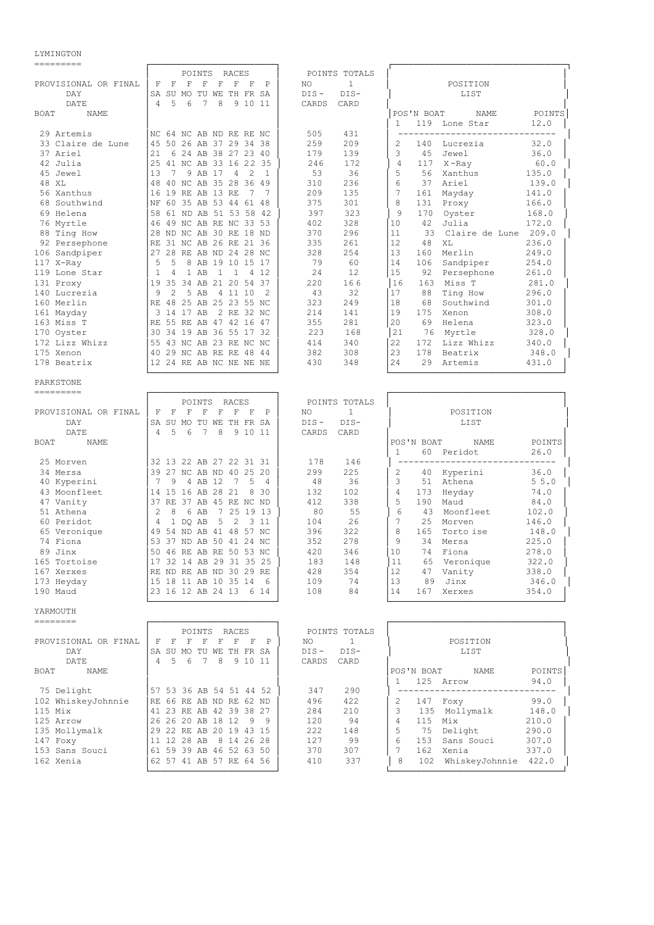#### LYMINGTON

 ========= ┌────────────────────────┐ ┌─────────────────────────────────┐ POINTS RACES │ POINTS TOTALS │<br>  $\begin{array}{ccc} \uparrow & \uparrow & \uparrow & \uparrow \\ \uparrow & \uparrow & \uparrow & \uparrow & \uparrow & \uparrow \\ \uparrow & \uparrow & \uparrow & \uparrow & \uparrow & \uparrow \\ \uparrow & \uparrow & \uparrow & \uparrow & \uparrow & \uparrow \\ \uparrow & \uparrow & \uparrow & \uparrow & \uparrow & \uparrow \\ \uparrow & \uparrow & \uparrow & \uparrow & \uparrow & \uparrow \\ \uparrow & \uparrow & \uparrow & \uparrow & \uparrow & \uparrow \\ \uparrow & \uparrow & \uparrow & \uparrow & \uparrow & \$ PROVISIONAL OR FINAL  $|$  F F F F F F F P DAY │SA SU MO TU WE TH FR SA │ DIS - DIS- │ LIST │ DATE │ 4 5 6 7 8 9 10 11 │ CARDS CARD │<br>NAME │ | NAME POINTS│  $BOAT$  NAME 1 119 Lone Star 12.0<br>
29 Artemis NC 64 NC AB ND RE RE NC 505 431 119 Lone Star 12.0 NC 64 NC AB ND RE RE NC | 505 431 | 45 50 26 AB 37 29 34 38 | 259 209 | 21 6 24 AB 38 27 23 40 | 179 139 33 Claire de Lune │45 50 26 AB 37 29 34 38 │ 259 209 │ 2 140 Lucrezia 32.0 │ 37 Ariel │21 6 24 AB 38 27 23 40 │ 179 139 │ 3 45 Jewel 36.0 │ 42 Julia │25 41 NC AB 33 16 22 35 │ 246 172 │ 4 117 X -Ray 60.0 │ │13 7 9 AB 17 4 2 1 │ 53 36<br>│48 40 NC AB 35.28.36.49 │ 310 236 48 XL 
48 40 NC AB 33 16 22 35<br>
48 XL 
48 40 NC AB 35 28 36 49<br>
48 XL 
48 40 NC AB 35 28 36 49<br>
48 XL 
48 40 NC AB 35 28 36 49<br>
48 310 236<br>
48 Southwind<br>
16 19 RE AB 13 RE 7 7<br>
209 135<br>
56 Xanthus<br>
17 161 Mayday<br>
41.0<br>
56 56 Xanthus │16 19 RE AB 13 RE 7 7 │ 209 135 │ 7 161 Mayday 141.0 │ 68 Southwind │NF 60 35 AB 53 44 61 48 │ 375 301 │ 8 131 Proxy 166.0 │ 69 Helena │58 61 ND AB 51 53 58 42 │ 397 323 │ 9 170 Oyster 168.0 │ 76 Myrtle │46 49 NC AB RE NC 33 53 │ 402 328 │10 42 Julia 172.0 │ 88 Ting How │28 ND NC AB 30 RE 18 ND │ 370 296 │11 33 Claire de Lune 209.0 │ 92 Persephone │RE 31 NC AB 26 RE 21 36 │ 335 261 │12 48 XL 236.0 │ 106 Sandpiper │27 28 RE AB ND 24 28 NC │ 328 254 │13 160 Merlin 249.0 │ 117 X-Ray │ 5 5 8 AB 19 10 15 17 │ 79 60 │14 106 Sandpiper 254.0 │ 119 Lone Star │ 1 4 1 AB 1 1 4 12 │ 24 12 │15 92 Persephone 261.0 │ 131 Proxy │19 35 34 AB 21 20 54 37 │ 220 16 6 │16 163 Miss T 281.0 │ 140 Lucrezia │ 9 2 5 AB 4 11 10 2 │ 43 32 │17 88 Ting How 296.0<br>160 Merlin │ RE 48 25 AB 25 23 55 NC 323 249 │ 18 68 Southwind 301.0 |RE 48 25 AB 25 23 55 NC | 323 249 | 18 68 Southwin<br>| 3 14 17 AB 2 RE 32 NC | 214 141 | 19 175 Xenon 161 Mayday │ 3 14 17 AB 2 RE 32 NC │ 214 141 │19 175 Xenon 308.0 │ 163 Miss T │RE 55 RE AB 47 42 16 47 │ 355 281 │ 20 69 Helena 323.0<br>170 Oyster │ 30 34 19 AB 36 55 17 32 │ 223 168 │ 21 76 Myrtle 328.0 170 Oyster 30 34 19 AB 36 55 17 32 223 168 21 76 Myrtle 328.0 328.0 329.0 414 340 22 172 Lizz Whizz 340.0 | 172 Lizz Whizz │ 55 43 NC AB 23 RE NC NC │ 414 340 │ 22 172 Lizz Whizz 340.0<br>175 Xenon │ 40 29 NC AB RE RE 48 44 │ 382 308 │ 23 178 Beatrix 348.0<br>178 Beatrix │ 12 24 RE AB NC NE NE NE │ 430 348 │ 24 29 Artemis │ 431.0 175 Xenon │40 29 NC AB RE RE 48 44 │ 382 308 │23 178 Beatrix 348.0 │  $1224$  RE AB NC NE NE NE └────────────────────────┘ └─────────────────────────────────┘ PARKSTONE ========= ┌────────────────────────┐ ┌─────────────────────────────────┐ PROVISIONAL OR FINAL | F F F F F F F P | NO 1 | POSITION │ F F F F F F F P │ NO 1<br>SA SU MO TU WE TH FR SA │ DIS- DIS- DAY │SA SU MO TU WE TH FR SA │ DIS - DIS- │ LIST │ DATE │ 4 5 6 7 8 9 10 11 │ CARDS CARD │<br>ROAT NAME POTNTS BOAT NAME │ │ │POS'N BOAT NAME POINTS│ │ │ │ 1 60 Peridot 26.0 │ 25 Morven │32 13 22 AB 27 22 31 31 │ 178 146 │ ------------------------------ │ 34 Mersa │39 27 NC AB ND 40 25 20 │ 299 225 │ 2 40 Kyperini 36.0 │ 40 Kyperini │ 7 9 4 AB 12 7 5 4 │ 48 36 │ 3 51 Athena 5 5.0 │ 43 Moonfleet │14 15 16 AB 28 21 8 30 │ 132 102 │ 4 173 Heyday 74.0 │ 47 Vanity │37 RE 37 AB 45 RE NC ND │ 412 338 │ 5 190 Maud 84.0 │ 51 Athena │ 2 8 6 AB 7 25 19 13 │ 80 55 │ 6 43 Moonfleet 102.0 │ 60 Peridot │ 4 1 DQ AB 5 2 3 11 │ 104 26 │ 7 25 Morven 146.0 │ 65 Veronique │49 54 ND AB 41 48 57 NC │ 396 322 │ 8 165 Torto ise 148.0 │ 74 Fiona │53 37 ND AB 50 41 24 NC │ 352 278 │ 9 34 Mersa 225.0 │ 89 Jinx │ 53 37 ND AB 50 41 24 NC │ 352 278 │ 9 34 Mersa 225.0<br>
89 Jinx │ 50 46 RE AB RE 50 53 NC │ 420 346 │ 10 74 Fiona 278.0<br>
165 Tortoise │ 17 32 14 AB 29 31 35 25 │ 183 148 │ 11 65 Veronique 322.0 165 Tortoise │17 32 14 AB 29 31 35 25 │ 183 148 │11 65 Veronique 322.0<br>167 Xerxes │ RE ND RE AB ND 30 29 RE │ 428 354 │12 47 Vanity 338.0 167 Xerxes │RE ND RE AB ND 30 29 RE │ 428 354 │12 47 Vanity 338.0<br>173 Heyday │ 15 18 11 AB 10 35 14 6 │ 109 74 │ 13 89 Jinx 346.0<br>100 Moud → 24 16 17 AR 24 13 6 14 │ 108 84 │ 14 167 Xerxes 354.0 173 Heyday │15 18 11 AB 10 35 14 6 │ 109 74 │ 13 89 Jinx 346.0 ∂<br>190 Maud │ 23 16 12 AB 24 13 6 14 │ 108 84 │ 14 167 Xerxes 354.0  $123$  16 12 AB 24 13 6 14 └────────────────────────┘ └─────────────────────────────────┘ YARMOUTH ======== ┌────────────────────────┐ ┌─────────────────────────────────┐ PROVISIONAL OR FINAL F F F F F F F F P | NO 1 | POSITION PROVISIONAL OR FINAL │ F F F F F F F P │ NO 1<br>DAY │ POSITION │ POSITION IS NO TU WE TH FR SA │ POSITION IS │SA SU MO TU WE TH FR SA │ DIS - DIS - │ LIST<br>│4 5 6 7 8 9 10 11 │ CARDS CARD │ DATE │ 4 5 6 7 8 9 10 11 BOAT NAME │ │ │POS'N BOAT NAME POINTS│ │ │ │ 1 125 Arrow 94.0 │ 75 Delight │57 53 36 AB 54 51 44 52 │ 347 290 │ ------------------------------ │ |RE 66 RE AB ND RE 62 ND │ 496 422 │ 2 147 Foxy 99.0 123 RE AB 42 39.38 27 │ 284 210 │ 3 135 Mollymalk

- 115 Mix │41 23 RE AB 42 39 38 27 │ 284 210 │ 3 135 Mollymalk 148.0 │ 125 Arrow │26 26 20 AB 18 12 9 9 │ 120 94 │ 4 115 Mix 210.0 │ 135 Mollymalk │29 22 RE AB 20 19 43 15 │ 222 148 │ 5 75 Delight 290.0 │ 147 Foxy │11 12 28 AB 8 14 26 28 │ 127 99 │ 6 153 Sans Souci 307.0 │ 153 Sans Souci │61 59 39 AB 46 52 63 50 │ 370 307 │ 7 162 Xenia 337.0 │
- 162 Xenia │62 57 41 AB 57 RE 64 56 │ 410 337 │ 8 102 WhiskeyJohnnie 422.0 │ └────────────────────────┘ └─────────────────────────────────┘
-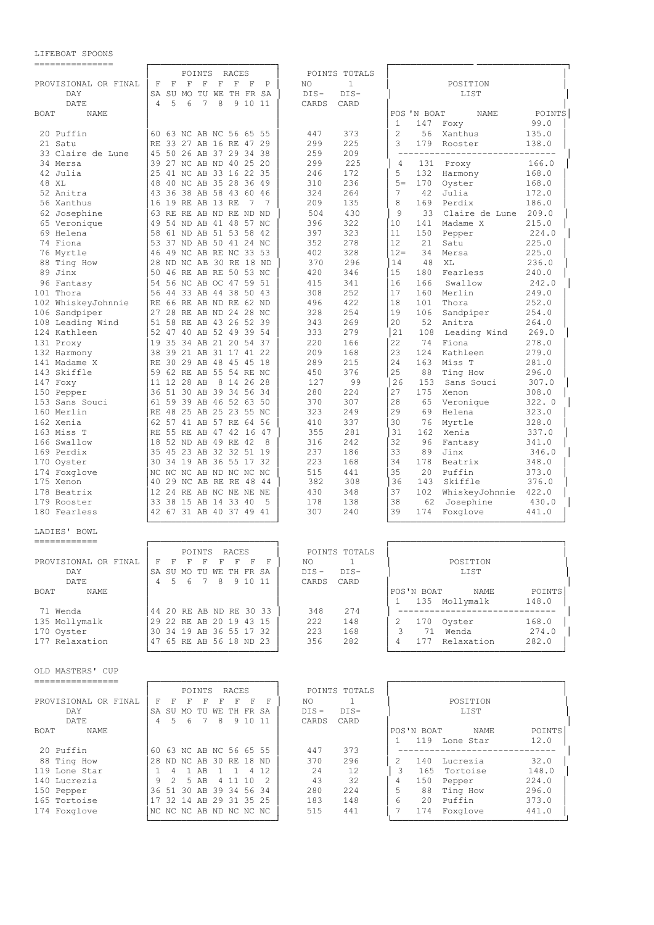# LIFEBOAT SPOONS

| ---------------                      |                                                                                                                               |                                    |                                                                                      |
|--------------------------------------|-------------------------------------------------------------------------------------------------------------------------------|------------------------------------|--------------------------------------------------------------------------------------|
|                                      | POINTS<br>RACES                                                                                                               | POINTS TOTALS                      |                                                                                      |
| PROVISIONAL OR FINAL                 | $\mathbf F$<br>$\mathbf F$<br>$\mathbf F$<br>$\mathbf F$<br>$\mathbf F$<br>F<br>- F<br>$\mathbb P$<br>SA SU MO TU WE TH FR SA | $\mathbf{1}$<br>NO                 | POSITION                                                                             |
| DAY<br>DATE                          | 4<br>5<br>6<br>7<br>8<br>9 10 11                                                                                              | $DIS-$<br>$DIS-$<br>CARDS<br>CARD  | LIST                                                                                 |
| BOAT<br>NAME                         |                                                                                                                               |                                    | POS 'N BOAT<br>POINTS<br>NAME                                                        |
|                                      |                                                                                                                               |                                    | 147<br>99.0<br>1<br>Foxy                                                             |
| 20 Puffin                            | 60 63 NC AB NC 56 65 55                                                                                                       | 373<br>447                         | 2<br>56<br>Xanthus<br>135.0                                                          |
| 21 Satu                              | RE 33 27 AB 16 RE 47 29                                                                                                       | 299<br>225                         | 179<br>3<br>Rooster<br>138.0                                                         |
| 33 Claire de Lune                    | 50 26 AB 37 29 34 38<br>45                                                                                                    | 259<br>209                         | ---------------------<br>$ -$<br>-------                                             |
| 34 Mersa                             | 39 27 NC AB ND 40 25 20                                                                                                       | 299<br>225                         | 166.0<br>4<br>131<br>Proxy                                                           |
| 42 Julia<br>48 XL                    | 25<br>41 NC AB 33 16 22 35<br>40 NC AB 35 28 36 49<br>48                                                                      | 172<br>246<br>310<br>236           | 168.0<br>5<br>132<br>Harmony<br>170<br>168.0<br>$5 =$<br>Oyster                      |
| 52 Anitra                            | 43 36 38 AB 58 43 60 46                                                                                                       | 324<br>264                         | 42<br>7<br>Julia<br>172.0                                                            |
| 56 Xanthus                           | 16<br>19 RE AB 13 RE<br>- 7<br>7                                                                                              | 209<br>135                         | 8<br>169<br>186.0<br>Perdix                                                          |
| 62 Josephine                         | 63 RE RE AB ND RE ND ND                                                                                                       | 430<br>504                         | 9<br>33<br>Claire de Lune<br>209.0                                                   |
| 65 Veronique                         | 54 ND AB 41 48 57 NC<br>49                                                                                                    | 322<br>396                         | 215.0<br>10<br>141<br>Madame X                                                       |
| 69 Helena                            | 61 ND AB 51 53 58 42<br>58                                                                                                    | 397<br>323                         | 224.0<br>11<br>150<br>Pepper                                                         |
| 74 Fiona                             | 37 ND AB 50 41 24 NC<br>53                                                                                                    | 352<br>278                         | 12<br>21<br>225.0<br>Satu                                                            |
| 76 Myrtle                            | 49 NC AB RE NC 33 53<br>46                                                                                                    | 328<br>402                         | $12 =$<br>34<br>225.0<br>Mersa                                                       |
| 88 Ting How<br>89 Jinx               | 28<br>ND NC AB 30 RE 18 ND<br>46 RE AB RE 50 53 NC<br>50                                                                      | 296<br>370<br>420<br>346           | 48<br>14<br>XL<br>236.0<br>15<br>180<br>Fearless<br>240.0                            |
| 96 Fantasy                           | 54<br>56 NC AB OC 47 59 51                                                                                                    | 415<br>341                         | 16<br>166<br>Swallow<br>242.0                                                        |
| 101 Thora                            | 56<br>44 33 AB 44 38 50 43                                                                                                    | 252<br>308                         | 17<br>249.0<br>160<br>Merlin                                                         |
| 102 WhiskeyJohnnie                   | 66 RE AB ND RE 62 ND<br>RE                                                                                                    | 422<br>496                         | 18<br>101<br>Thora<br>252.0                                                          |
| 106 Sandpiper                        | 27 28 RE AB ND 24 28 NC                                                                                                       | 254<br>328                         | 19<br>106<br>Sandpiper<br>254.0                                                      |
| 108 Leading Wind                     | 51<br>58 RE AB 43 26 52 39                                                                                                    | 269<br>343                         | 20<br>52<br>Anitra<br>264.0                                                          |
| 124 Kathleen                         | 52 47 40 AB 52 49 39 54                                                                                                       | 279<br>333                         | 21<br>108<br>Leading Wind<br>269.0                                                   |
| 131 Proxy                            | 19<br>35 34 AB 21 20 54 37                                                                                                    | 220<br>166                         | 22<br>74<br>278.0<br>Fiona                                                           |
| 132 Harmony<br>141 Madame X          | 38<br>39 21 AB 31 17 41 22<br>30 29 AB 48 45 45 18<br>RE                                                                      | 209<br>168<br>215<br>289           | 23<br>279.0<br>124<br>Kathleen<br>24<br>163<br>Miss T<br>281.0                       |
| 143 Skiffle                          | 59 62 RE AB 55 54 RE NC                                                                                                       | 376<br>450                         | 25<br>88<br>Ting How<br>296.0                                                        |
| 147 Foxy                             | 11 12 28 AB<br>8 14 26 28                                                                                                     | 99<br>127                          | 26<br>153<br>Sans Souci<br>307.0                                                     |
| 150 Pepper                           | 36 51 30 AB 39 34 56 34                                                                                                       | 280<br>224                         | 27<br>175<br>308.0<br>Xenon                                                          |
| 153 Sans Souci                       | 59 39 AB 46 52 63 50<br>61                                                                                                    | 307<br>370                         | 28<br>65<br>Veronique<br>322.0                                                       |
| 160 Merlin                           | RE 48 25 AB 25 23 55 NC                                                                                                       | 323<br>249                         | 29<br>69<br>323.0<br>Helena                                                          |
| 162 Xenia                            | 62 57 41 AB 57 RE 64 56                                                                                                       | 337<br>410                         | 30<br>328.0<br>76<br>Myrtle                                                          |
| 163 Miss T<br>166 Swallow            | RE 55 RE AB 47 42 16 47<br>18<br>52 ND AB 49 RE 42<br>8                                                                       | 355<br>281<br>316<br>242           | 31<br>162<br>337.0<br>Xenia<br>32<br>96<br>341.0<br>Fantasy                          |
| 169 Perdix                           | 35 45 23 AB 32 32 51 19                                                                                                       | 237<br>186                         | 33<br>89<br>Jinx<br>346.0                                                            |
| 170 Oyster                           | 34 19 AB 36 55 17 32<br>30                                                                                                    | 223<br>168                         | 34<br>178<br>Beatrix<br>348.0                                                        |
| 174 Foxglove                         | NC NC NC AB ND NC NC NC                                                                                                       | 515<br>441                         | 35<br>20<br>Puffin<br>373.0                                                          |
| 175 Xenon                            | 29 NC AB RE RE 48<br>40<br>-44                                                                                                | 382<br>308                         | 36<br>Skiffle<br>143<br>376.0                                                        |
| 178 Beatrix                          | 12 24 RE AB NC NE NE NE                                                                                                       | 430<br>348                         | 37<br>422.0<br>102<br>WhiskeyJohnnie                                                 |
| 179 Rooster                          | 33<br>38 15 AB 14 33 40<br>5                                                                                                  | 138<br>178                         | 38<br>62<br>430.0<br>Josephine                                                       |
| 180 Fearless                         | 42 67 31 AB 40 37 49 41                                                                                                       | 307<br>240                         | 39<br>174<br>Foxglove<br>441.0                                                       |
| LADIES' BOWL                         |                                                                                                                               |                                    |                                                                                      |
| ------------                         |                                                                                                                               |                                    |                                                                                      |
|                                      | POINTS<br><b>RACES</b>                                                                                                        | POINTS TOTALS                      |                                                                                      |
| PROVISIONAL OR FINAL<br>DAY          | $F$ $F$ $F$<br>F<br>$F$ F<br>F<br>F                                                                                           | $\mathbf{1}$<br>NO                 | POSITION<br>LIST                                                                     |
| DATE                                 | SA SU MO TU WE TH FR SA<br>$4\quad 5\quad 6$<br>7 8 9 10 11                                                                   | $DIS -$<br>$DIS-$<br>CARD<br>CARDS |                                                                                      |
| BOAT NAME                            |                                                                                                                               |                                    | POS'N BOAT NAME<br>POINTS                                                            |
|                                      |                                                                                                                               |                                    | 135 Mollymalk<br>148.0<br>$1 -$                                                      |
| 71 Wenda                             | 44 20 RE AB ND RE 30 33                                                                                                       | 348<br>274                         | ------------------------------                                                       |
| 135 Mollymalk                        | 29 22 RE AB 20 19 43 15                                                                                                       | 222<br>148                         | 170 Oyster<br>168.0<br>2                                                             |
| 170 Oyster<br>177 Relaxation         | 30 34 19 AB 36 55 17 32<br>47 65 RE AB 56 18 ND 23                                                                            | 223<br>168<br>356<br>282           | $\overline{\mathbf{3}}$<br>71 Wenda<br>274.0<br>$4 \quad$<br>177 Relaxation<br>282.0 |
|                                      |                                                                                                                               |                                    |                                                                                      |
|                                      |                                                                                                                               |                                    |                                                                                      |
| OLD MASTERS' CUP<br>---------------- |                                                                                                                               |                                    |                                                                                      |
|                                      | POINTS RACES                                                                                                                  | POINTS TOTALS                      |                                                                                      |
| PROVISIONAL OR FINAL                 | F F F F F F F F                                                                                                               | NO<br>$\mathbf{1}$                 | POSITION                                                                             |
| DAY                                  | SA SU MO TU WE TH FR SA                                                                                                       | $DIS-$<br>DIS-                     | LIST                                                                                 |
| DATE                                 | 4 5 6 7 8 9 10 11                                                                                                             | CARDS CARD                         |                                                                                      |
| BOAT NAME                            |                                                                                                                               |                                    | POS'N BOAT NAME<br><b>POINTS</b><br>$\mathbf{1}$                                     |
| 20 Puffin                            | 60 63 NC AB NC 56 65 55                                                                                                       | 447<br>373                         | 119 Lone Star<br>12.0<br>----------------------------                                |
| 88 Ting How                          | 28 ND NC AB 30 RE 18 ND                                                                                                       | 370<br>296                         | 140 Lucrezia<br>32.0<br>2                                                            |
| 119 Lone Star                        | 1 4 1 AB<br>1 1 4 12                                                                                                          | 24<br>12                           | $\overline{\mathbf{3}}$<br>165 Tortoise<br>148.0                                     |
| 140 Lucrezia                         | 9 2 5 AB<br>4 11 10 2                                                                                                         | 43<br>32                           | 4<br>150 Pepper<br>224.0                                                             |
| 150 Pepper                           | 36 51 30 AB 39 34 56 34                                                                                                       | 280<br>224                         | 5<br>88 Ting How<br>296.0                                                            |
| 165 Tortoise                         | 17 32 14 AB 29 31 35 25                                                                                                       | 183<br>148                         | 6<br>20 Puffin<br>373.0<br>7                                                         |
| 174 Foxglove                         | NC NC NC AB ND NC NC NC                                                                                                       | 515<br>441                         | 174 Foxglove<br>441.0                                                                |